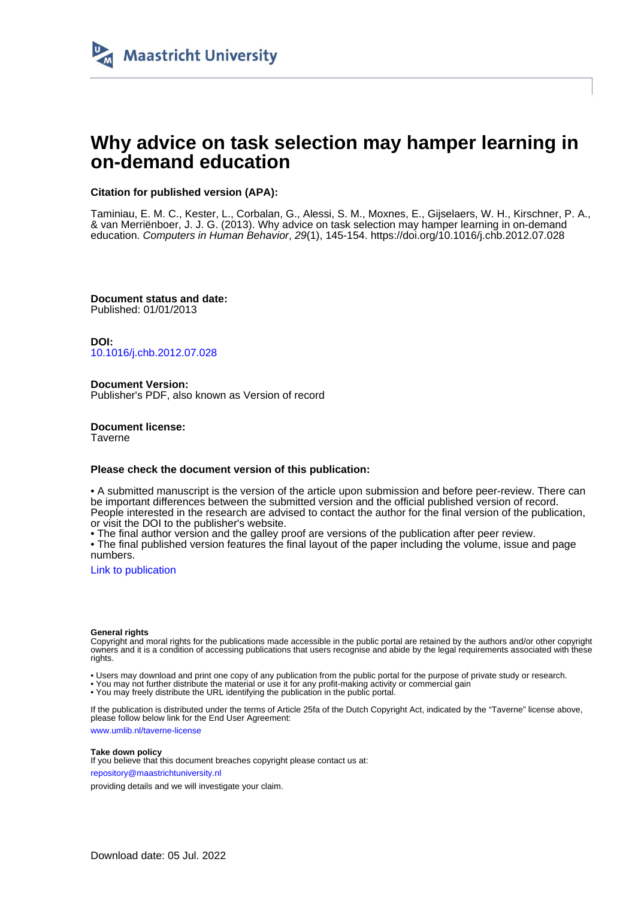

# **Why advice on task selection may hamper learning in on-demand education**

## **Citation for published version (APA):**

Taminiau, E. M. C., Kester, L., Corbalan, G., Alessi, S. M., Moxnes, E., Gijselaers, W. H., Kirschner, P. A., & van Merriënboer, J. J. G. (2013). Why advice on task selection may hamper learning in on-demand education. Computers in Human Behavior, 29(1), 145-154.<https://doi.org/10.1016/j.chb.2012.07.028>

**Document status and date:** Published: 01/01/2013

**DOI:** [10.1016/j.chb.2012.07.028](https://doi.org/10.1016/j.chb.2012.07.028)

**Document Version:** Publisher's PDF, also known as Version of record

**Document license: Taverne** 

## **Please check the document version of this publication:**

• A submitted manuscript is the version of the article upon submission and before peer-review. There can be important differences between the submitted version and the official published version of record. People interested in the research are advised to contact the author for the final version of the publication, or visit the DOI to the publisher's website.

• The final author version and the galley proof are versions of the publication after peer review.

• The final published version features the final layout of the paper including the volume, issue and page numbers.

[Link to publication](https://cris.maastrichtuniversity.nl/en/publications/84c2892f-3c5d-4bfe-ac1f-304cecec418e)

## **General rights**

Copyright and moral rights for the publications made accessible in the public portal are retained by the authors and/or other copyright owners and it is a condition of accessing publications that users recognise and abide by the legal requirements associated with these rights.

• Users may download and print one copy of any publication from the public portal for the purpose of private study or research.

• You may not further distribute the material or use it for any profit-making activity or commercial gain

• You may freely distribute the URL identifying the publication in the public portal.

If the publication is distributed under the terms of Article 25fa of the Dutch Copyright Act, indicated by the "Taverne" license above, please follow below link for the End User Agreement:

www.umlib.nl/taverne-license

## **Take down policy**

If you believe that this document breaches copyright please contact us at: repository@maastrichtuniversity.nl

providing details and we will investigate your claim.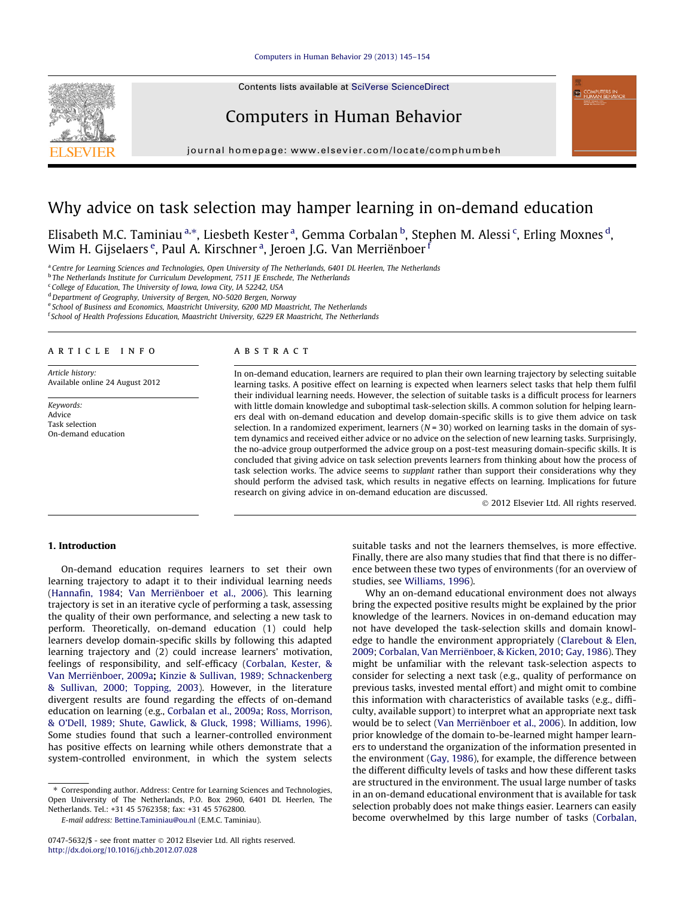## [Computers in Human Behavior 29 \(2013\) 145–154](http://dx.doi.org/10.1016/j.chb.2012.07.028)



# Computers in Human Behavior

journal homepage: [www.elsevier.com/locate/comphumbeh](http://www.elsevier.com/locate/comphumbeh)

# Why advice on task selection may hamper learning in on-demand education

Elisabeth M.C. Taminiau <sup>a,\*</sup>, Liesbeth Kester <sup>a</sup>, Gemma Corbalan <sup>b</sup>, Stephen M. Alessi <sup>c</sup>, Erling Moxnes <sup>d</sup>, Wim H. Gijselaers <sup>e</sup>, Paul A. Kirschner <sup>a</sup>, Jeroen J.G. Van Merriënboer <sup>f</sup>

<sup>a</sup> Centre for Learning Sciences and Technologies, Open University of The Netherlands, 6401 DL Heerlen, The Netherlands

<sup>b</sup> The Netherlands Institute for Curriculum Development, 7511 JE Enschede, The Netherlands

<sup>c</sup> College of Education, The University of Iowa, Iowa City, IA 52242, USA

<sup>d</sup> Department of Geography, University of Bergen, NO-5020 Bergen, Norway

e School of Business and Economics, Maastricht University, 6200 MD Maastricht, The Netherlands

<sup>f</sup> School of Health Professions Education, Maastricht University, 6229 ER Maastricht, The Netherlands

## article info

Article history: Available online 24 August 2012

Keywords: Advice Task selection On-demand education

## **ABSTRACT**

In on-demand education, learners are required to plan their own learning trajectory by selecting suitable learning tasks. A positive effect on learning is expected when learners select tasks that help them fulfil their individual learning needs. However, the selection of suitable tasks is a difficult process for learners with little domain knowledge and suboptimal task-selection skills. A common solution for helping learners deal with on-demand education and develop domain-specific skills is to give them advice on task selection. In a randomized experiment, learners ( $N = 30$ ) worked on learning tasks in the domain of system dynamics and received either advice or no advice on the selection of new learning tasks. Surprisingly, the no-advice group outperformed the advice group on a post-test measuring domain-specific skills. It is concluded that giving advice on task selection prevents learners from thinking about how the process of task selection works. The advice seems to supplant rather than support their considerations why they should perform the advised task, which results in negative effects on learning. Implications for future research on giving advice in on-demand education are discussed.

- 2012 Elsevier Ltd. All rights reserved.

## 1. Introduction

On-demand education requires learners to set their own learning trajectory to adapt it to their individual learning needs ([Hannafin, 1984;](#page-9-0) [Van Merriënboer et al., 2006](#page-10-0)). This learning trajectory is set in an iterative cycle of performing a task, assessing the quality of their own performance, and selecting a new task to perform. Theoretically, on-demand education (1) could help learners develop domain-specific skills by following this adapted learning trajectory and (2) could increase learners' motivation, feelings of responsibility, and self-efficacy ([Corbalan, Kester, &](#page-9-0) [Van Merriënboer, 2009a](#page-9-0); [Kinzie & Sullivan, 1989; Schnackenberg](#page-10-0) [& Sullivan, 2000; Topping, 2003\)](#page-10-0). However, in the literature divergent results are found regarding the effects of on-demand education on learning (e.g., [Corbalan et al., 2009a](#page-9-0); [Ross, Morrison,](#page-10-0) [& O'Dell, 1989; Shute, Gawlick, & Gluck, 1998; Williams, 1996\)](#page-10-0). Some studies found that such a learner-controlled environment has positive effects on learning while others demonstrate that a system-controlled environment, in which the system selects

⇑ Corresponding author. Address: Centre for Learning Sciences and Technologies, Open University of The Netherlands, P.O. Box 2960, 6401 DL Heerlen, The Netherlands. Tel.: +31 45 5762358; fax: +31 45 5762800.

E-mail address: [Bettine.Taminiau@ou.nl](mailto:Bettine.Taminiau@ou.nl) (E.M.C. Taminiau).

suitable tasks and not the learners themselves, is more effective. Finally, there are also many studies that find that there is no difference between these two types of environments (for an overview of studies, see [Williams, 1996](#page-10-0)).

Why an on-demand educational environment does not always bring the expected positive results might be explained by the prior knowledge of the learners. Novices in on-demand education may not have developed the task-selection skills and domain knowledge to handle the environment appropriately [\(Clarebout & Elen,](#page-9-0) [2009](#page-9-0); [Corbalan, Van Merriënboer, & Kicken, 2010](#page-9-0); [Gay, 1986](#page-9-0)). They might be unfamiliar with the relevant task-selection aspects to consider for selecting a next task (e.g., quality of performance on previous tasks, invested mental effort) and might omit to combine this information with characteristics of available tasks (e.g., difficulty, available support) to interpret what an appropriate next task would be to select ([Van Merriënboer et al., 2006](#page-10-0)). In addition, low prior knowledge of the domain to-be-learned might hamper learners to understand the organization of the information presented in the environment [\(Gay, 1986](#page-9-0)), for example, the difference between the different difficulty levels of tasks and how these different tasks are structured in the environment. The usual large number of tasks in an on-demand educational environment that is available for task selection probably does not make things easier. Learners can easily become overwhelmed by this large number of tasks [\(Corbalan,](#page-9-0)



<sup>0747-5632/\$ -</sup> see front matter © 2012 Elsevier Ltd. All rights reserved. <http://dx.doi.org/10.1016/j.chb.2012.07.028>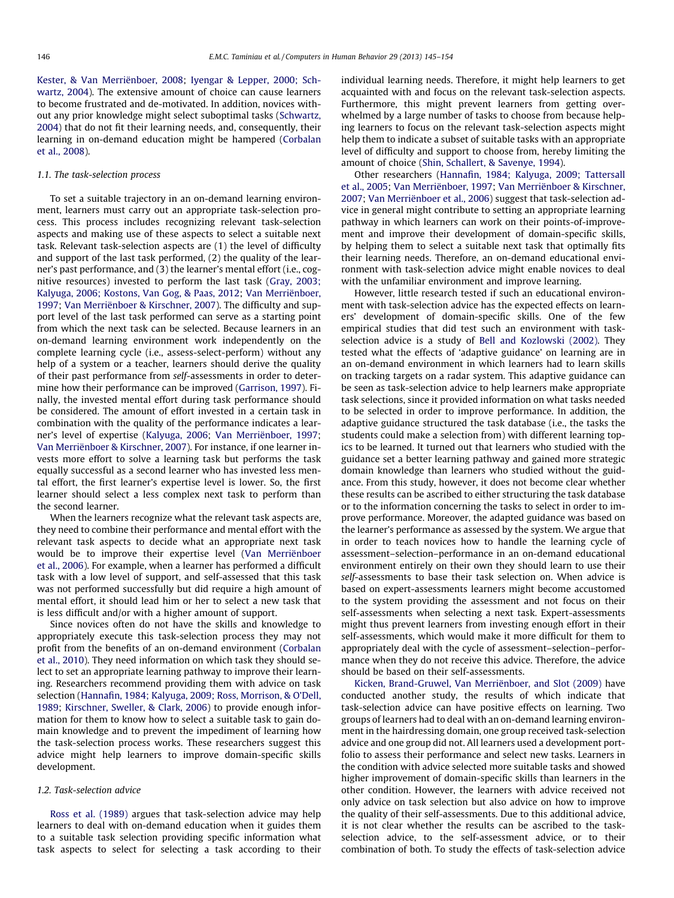[Kester, & Van Merriënboer, 2008](#page-9-0); [Iyengar & Lepper, 2000; Sch](#page-9-0)[wartz, 2004](#page-9-0)). The extensive amount of choice can cause learners to become frustrated and de-motivated. In addition, novices without any prior knowledge might select suboptimal tasks [\(Schwartz,](#page-10-0) [2004\)](#page-10-0) that do not fit their learning needs, and, consequently, their learning in on-demand education might be hampered [\(Corbalan](#page-9-0) [et al., 2008\)](#page-9-0).

#### 1.1. The task-selection process

To set a suitable trajectory in an on-demand learning environment, learners must carry out an appropriate task-selection process. This process includes recognizing relevant task-selection aspects and making use of these aspects to select a suitable next task. Relevant task-selection aspects are (1) the level of difficulty and support of the last task performed, (2) the quality of the learner's past performance, and (3) the learner's mental effort (i.e., cognitive resources) invested to perform the last task [\(Gray, 2003;](#page-9-0) [Kalyuga, 2006; Kostons, Van Gog, & Paas, 2012;](#page-9-0) [Van Merriënboer,](#page-10-0) [1997;](#page-10-0) [Van Merriënboer & Kirschner, 2007\)](#page-10-0). The difficulty and support level of the last task performed can serve as a starting point from which the next task can be selected. Because learners in an on-demand learning environment work independently on the complete learning cycle (i.e., assess-select-perform) without any help of a system or a teacher, learners should derive the quality of their past performance from self-assessments in order to determine how their performance can be improved [\(Garrison, 1997\)](#page-9-0). Finally, the invested mental effort during task performance should be considered. The amount of effort invested in a certain task in combination with the quality of the performance indicates a learner's level of expertise [\(Kalyuga, 2006;](#page-9-0) [Van Merriënboer, 1997;](#page-10-0) [Van Merriënboer & Kirschner, 2007\)](#page-10-0). For instance, if one learner invests more effort to solve a learning task but performs the task equally successful as a second learner who has invested less mental effort, the first learner's expertise level is lower. So, the first learner should select a less complex next task to perform than the second learner.

When the learners recognize what the relevant task aspects are, they need to combine their performance and mental effort with the relevant task aspects to decide what an appropriate next task would be to improve their expertise level ([Van Merriënboer](#page-10-0) [et al., 2006\)](#page-10-0). For example, when a learner has performed a difficult task with a low level of support, and self-assessed that this task was not performed successfully but did require a high amount of mental effort, it should lead him or her to select a new task that is less difficult and/or with a higher amount of support.

Since novices often do not have the skills and knowledge to appropriately execute this task-selection process they may not profit from the benefits of an on-demand environment [\(Corbalan](#page-9-0) [et al., 2010](#page-9-0)). They need information on which task they should select to set an appropriate learning pathway to improve their learning. Researchers recommend providing them with advice on task selection [\(Hannafin, 1984; Kalyuga, 2009; Ross, Morrison, & O'Dell,](#page-9-0) [1989;](#page-9-0) [Kirschner, Sweller, & Clark, 2006](#page-10-0)) to provide enough information for them to know how to select a suitable task to gain domain knowledge and to prevent the impediment of learning how the task-selection process works. These researchers suggest this advice might help learners to improve domain-specific skills development.

## 1.2. Task-selection advice

[Ross et al. \(1989\)](#page-10-0) argues that task-selection advice may help learners to deal with on-demand education when it guides them to a suitable task selection providing specific information what task aspects to select for selecting a task according to their individual learning needs. Therefore, it might help learners to get acquainted with and focus on the relevant task-selection aspects. Furthermore, this might prevent learners from getting overwhelmed by a large number of tasks to choose from because helping learners to focus on the relevant task-selection aspects might help them to indicate a subset of suitable tasks with an appropriate level of difficulty and support to choose from, hereby limiting the amount of choice [\(Shin, Schallert, & Savenye, 1994\)](#page-10-0).

Other researchers [\(Hannafin, 1984; Kalyuga, 2009; Tattersall](#page-9-0) [et al., 2005;](#page-9-0) [Van Merriënboer, 1997](#page-10-0); [Van Merriënboer & Kirschner,](#page-10-0) [2007;](#page-10-0) [Van Merriënboer et al., 2006\)](#page-10-0) suggest that task-selection advice in general might contribute to setting an appropriate learning pathway in which learners can work on their points-of-improvement and improve their development of domain-specific skills, by helping them to select a suitable next task that optimally fits their learning needs. Therefore, an on-demand educational environment with task-selection advice might enable novices to deal with the unfamiliar environment and improve learning.

However, little research tested if such an educational environment with task-selection advice has the expected effects on learners' development of domain-specific skills. One of the few empirical studies that did test such an environment with taskselection advice is a study of [Bell and Kozlowski \(2002\)](#page-9-0). They tested what the effects of 'adaptive guidance' on learning are in an on-demand environment in which learners had to learn skills on tracking targets on a radar system. This adaptive guidance can be seen as task-selection advice to help learners make appropriate task selections, since it provided information on what tasks needed to be selected in order to improve performance. In addition, the adaptive guidance structured the task database (i.e., the tasks the students could make a selection from) with different learning topics to be learned. It turned out that learners who studied with the guidance set a better learning pathway and gained more strategic domain knowledge than learners who studied without the guidance. From this study, however, it does not become clear whether these results can be ascribed to either structuring the task database or to the information concerning the tasks to select in order to improve performance. Moreover, the adapted guidance was based on the learner's performance as assessed by the system. We argue that in order to teach novices how to handle the learning cycle of assessment–selection–performance in an on-demand educational environment entirely on their own they should learn to use their self-assessments to base their task selection on. When advice is based on expert-assessments learners might become accustomed to the system providing the assessment and not focus on their self-assessments when selecting a next task. Expert-assessments might thus prevent learners from investing enough effort in their self-assessments, which would make it more difficult for them to appropriately deal with the cycle of assessment–selection–performance when they do not receive this advice. Therefore, the advice should be based on their self-assessments.

[Kicken, Brand-Gruwel, Van Merriënboer, and Slot \(2009\)](#page-10-0) have conducted another study, the results of which indicate that task-selection advice can have positive effects on learning. Two groups of learners had to deal with an on-demand learning environment in the hairdressing domain, one group received task-selection advice and one group did not. All learners used a development portfolio to assess their performance and select new tasks. Learners in the condition with advice selected more suitable tasks and showed higher improvement of domain-specific skills than learners in the other condition. However, the learners with advice received not only advice on task selection but also advice on how to improve the quality of their self-assessments. Due to this additional advice, it is not clear whether the results can be ascribed to the taskselection advice, to the self-assessment advice, or to their combination of both. To study the effects of task-selection advice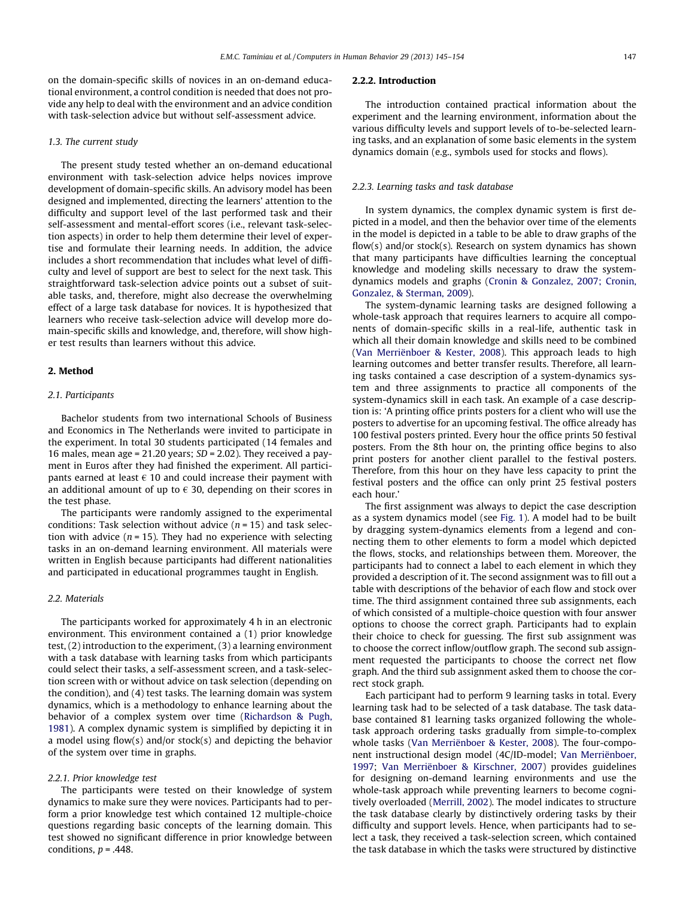on the domain-specific skills of novices in an on-demand educational environment, a control condition is needed that does not provide any help to deal with the environment and an advice condition with task-selection advice but without self-assessment advice.

## 1.3. The current study

The present study tested whether an on-demand educational environment with task-selection advice helps novices improve development of domain-specific skills. An advisory model has been designed and implemented, directing the learners' attention to the difficulty and support level of the last performed task and their self-assessment and mental-effort scores (i.e., relevant task-selection aspects) in order to help them determine their level of expertise and formulate their learning needs. In addition, the advice includes a short recommendation that includes what level of difficulty and level of support are best to select for the next task. This straightforward task-selection advice points out a subset of suitable tasks, and, therefore, might also decrease the overwhelming effect of a large task database for novices. It is hypothesized that learners who receive task-selection advice will develop more domain-specific skills and knowledge, and, therefore, will show higher test results than learners without this advice.

## 2. Method

## 2.1. Participants

Bachelor students from two international Schools of Business and Economics in The Netherlands were invited to participate in the experiment. In total 30 students participated (14 females and 16 males, mean age = 21.20 years;  $SD = 2.02$ ). They received a payment in Euros after they had finished the experiment. All participants earned at least  $\epsilon$  10 and could increase their payment with an additional amount of up to  $\epsilon$  30, depending on their scores in the test phase.

The participants were randomly assigned to the experimental conditions: Task selection without advice  $(n = 15)$  and task selection with advice ( $n = 15$ ). They had no experience with selecting tasks in an on-demand learning environment. All materials were written in English because participants had different nationalities and participated in educational programmes taught in English.

## 2.2. Materials

The participants worked for approximately 4 h in an electronic environment. This environment contained a (1) prior knowledge test, (2) introduction to the experiment, (3) a learning environment with a task database with learning tasks from which participants could select their tasks, a self-assessment screen, and a task-selection screen with or without advice on task selection (depending on the condition), and (4) test tasks. The learning domain was system dynamics, which is a methodology to enhance learning about the behavior of a complex system over time ([Richardson & Pugh,](#page-10-0) [1981\)](#page-10-0). A complex dynamic system is simplified by depicting it in a model using flow(s) and/or stock(s) and depicting the behavior of the system over time in graphs.

#### 2.2.1. Prior knowledge test

The participants were tested on their knowledge of system dynamics to make sure they were novices. Participants had to perform a prior knowledge test which contained 12 multiple-choice questions regarding basic concepts of the learning domain. This test showed no significant difference in prior knowledge between conditions,  $p = .448$ .

## 2.2.2. Introduction

The introduction contained practical information about the experiment and the learning environment, information about the various difficulty levels and support levels of to-be-selected learning tasks, and an explanation of some basic elements in the system dynamics domain (e.g., symbols used for stocks and flows).

## 2.2.3. Learning tasks and task database

In system dynamics, the complex dynamic system is first depicted in a model, and then the behavior over time of the elements in the model is depicted in a table to be able to draw graphs of the flow(s) and/or stock(s). Research on system dynamics has shown that many participants have difficulties learning the conceptual knowledge and modeling skills necessary to draw the systemdynamics models and graphs [\(Cronin & Gonzalez, 2007; Cronin,](#page-9-0) [Gonzalez, & Sterman, 2009\)](#page-9-0).

The system-dynamic learning tasks are designed following a whole-task approach that requires learners to acquire all components of domain-specific skills in a real-life, authentic task in which all their domain knowledge and skills need to be combined ([Van Merriënboer & Kester, 2008\)](#page-10-0). This approach leads to high learning outcomes and better transfer results. Therefore, all learning tasks contained a case description of a system-dynamics system and three assignments to practice all components of the system-dynamics skill in each task. An example of a case description is: 'A printing office prints posters for a client who will use the posters to advertise for an upcoming festival. The office already has 100 festival posters printed. Every hour the office prints 50 festival posters. From the 8th hour on, the printing office begins to also print posters for another client parallel to the festival posters. Therefore, from this hour on they have less capacity to print the festival posters and the office can only print 25 festival posters each hour.'

The first assignment was always to depict the case description as a system dynamics model (see [Fig. 1](#page-4-0)). A model had to be built by dragging system-dynamics elements from a legend and connecting them to other elements to form a model which depicted the flows, stocks, and relationships between them. Moreover, the participants had to connect a label to each element in which they provided a description of it. The second assignment was to fill out a table with descriptions of the behavior of each flow and stock over time. The third assignment contained three sub assignments, each of which consisted of a multiple-choice question with four answer options to choose the correct graph. Participants had to explain their choice to check for guessing. The first sub assignment was to choose the correct inflow/outflow graph. The second sub assignment requested the participants to choose the correct net flow graph. And the third sub assignment asked them to choose the correct stock graph.

Each participant had to perform 9 learning tasks in total. Every learning task had to be selected of a task database. The task database contained 81 learning tasks organized following the wholetask approach ordering tasks gradually from simple-to-complex whole tasks ([Van Merriënboer & Kester, 2008](#page-10-0)). The four-component instructional design model (4C/ID-model; [Van Merriënboer,](#page-10-0) [1997;](#page-10-0) [Van Merriënboer & Kirschner, 2007\)](#page-10-0) provides guidelines for designing on-demand learning environments and use the whole-task approach while preventing learners to become cognitively overloaded ([Merrill, 2002\)](#page-10-0). The model indicates to structure the task database clearly by distinctively ordering tasks by their difficulty and support levels. Hence, when participants had to select a task, they received a task-selection screen, which contained the task database in which the tasks were structured by distinctive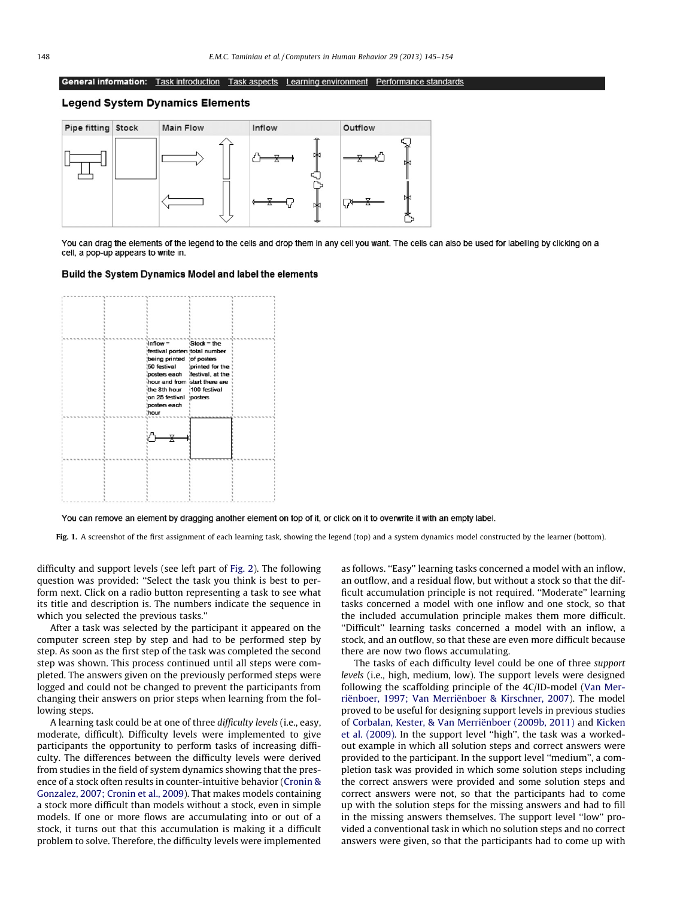<span id="page-4-0"></span>

You can remove an element by dragging another element on top of it, or click on it to overwrite it with an empty label.

Fig. 1. A screenshot of the first assignment of each learning task, showing the legend (top) and a system dynamics model constructed by the learner (bottom).

difficulty and support levels (see left part of [Fig. 2\)](#page-5-0). The following question was provided: ''Select the task you think is best to perform next. Click on a radio button representing a task to see what its title and description is. The numbers indicate the sequence in which you selected the previous tasks.''

After a task was selected by the participant it appeared on the computer screen step by step and had to be performed step by step. As soon as the first step of the task was completed the second step was shown. This process continued until all steps were completed. The answers given on the previously performed steps were logged and could not be changed to prevent the participants from changing their answers on prior steps when learning from the following steps.

A learning task could be at one of three difficulty levels (i.e., easy, moderate, difficult). Difficulty levels were implemented to give participants the opportunity to perform tasks of increasing difficulty. The differences between the difficulty levels were derived from studies in the field of system dynamics showing that the presence of a stock often results in counter-intuitive behavior [\(Cronin &](#page-9-0) [Gonzalez, 2007; Cronin et al., 2009\)](#page-9-0). That makes models containing a stock more difficult than models without a stock, even in simple models. If one or more flows are accumulating into or out of a stock, it turns out that this accumulation is making it a difficult problem to solve. Therefore, the difficulty levels were implemented as follows. ''Easy'' learning tasks concerned a model with an inflow, an outflow, and a residual flow, but without a stock so that the difficult accumulation principle is not required. ''Moderate'' learning tasks concerned a model with one inflow and one stock, so that the included accumulation principle makes them more difficult. ''Difficult'' learning tasks concerned a model with an inflow, a stock, and an outflow, so that these are even more difficult because there are now two flows accumulating.

The tasks of each difficulty level could be one of three support levels (i.e., high, medium, low). The support levels were designed following the scaffolding principle of the 4C/ID-model [\(Van Mer](#page-10-0)[riënboer, 1997; Van Merriënboer & Kirschner, 2007](#page-10-0)). The model proved to be useful for designing support levels in previous studies of [Corbalan, Kester, & Van Merriënboer \(2009b, 2011\)](#page-9-0) and [Kicken](#page-10-0) [et al. \(2009\).](#page-10-0) In the support level ''high'', the task was a workedout example in which all solution steps and correct answers were provided to the participant. In the support level ''medium'', a completion task was provided in which some solution steps including the correct answers were provided and some solution steps and correct answers were not, so that the participants had to come up with the solution steps for the missing answers and had to fill in the missing answers themselves. The support level ''low'' provided a conventional task in which no solution steps and no correct answers were given, so that the participants had to come up with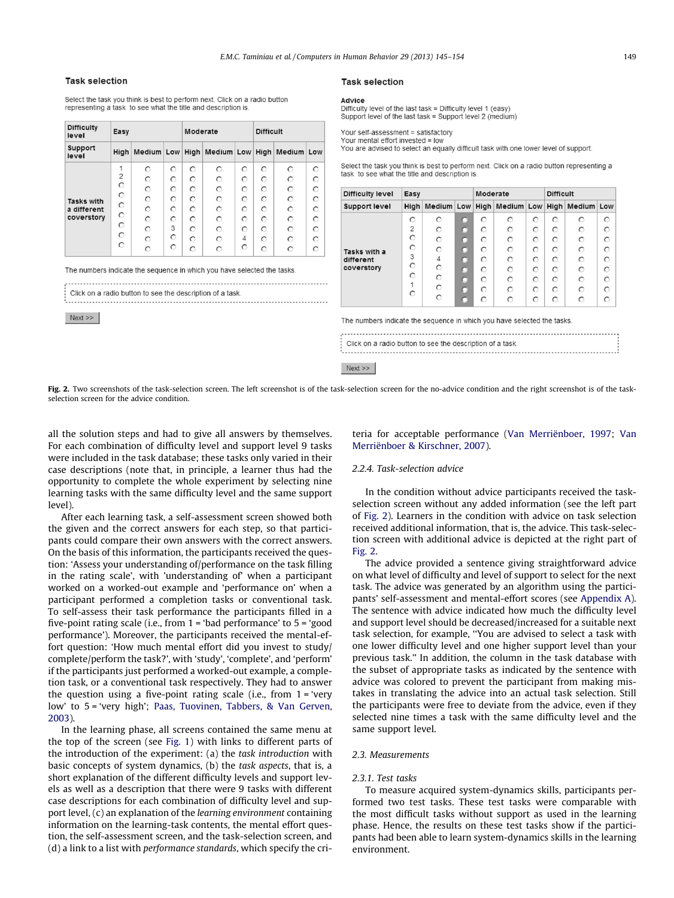## <span id="page-5-0"></span>**Task selection**

Select the task you think is best to perform next. Click on a radio button representing a task to see what the title and description is

| <b>Difficulty</b><br>level                     | Easy           |         |         | Moderate |         |         | <b>Difficult</b> |                                                 |         |
|------------------------------------------------|----------------|---------|---------|----------|---------|---------|------------------|-------------------------------------------------|---------|
| Support<br>level                               |                |         |         |          |         |         |                  | High Medium Low High Medium Low High Medium Low |         |
|                                                |                | O       | $\circ$ | $\circ$  | $\circ$ | O       | O                | $\circ$                                         | $\circ$ |
| <b>Tasks with</b><br>a different<br>coverstory | $\overline{2}$ | $\circ$ | $\circ$ | $\circ$  | $\circ$ | O       | $\circ$          | $\circ$                                         | $\circ$ |
|                                                | $\circ$        | Ō       | O       | $\circ$  | O       | O       | O                | $\circ$                                         | $\circ$ |
|                                                | $\circ$        | O       | $\circ$ | $\circ$  | $\circ$ | O       | O                | $\circ$                                         | $\circ$ |
|                                                | O              | $\circ$ | O       | $\circ$  | O       | О       | O                | $\circ$                                         | O       |
|                                                | O              | Ō       | $\circ$ | $\circ$  | $\circ$ | О       | $\circ$          | $\circ$                                         | $\circ$ |
|                                                | O              | O       | 3       | $\circ$  | O       | O       | O                | O                                               | $\circ$ |
|                                                | O              | O       | $\circ$ | $\circ$  | $\circ$ | 4       | O                | $\circ$                                         | $\circ$ |
|                                                | O              | O       | $\circ$ | O        | O       | $\circ$ | O                | O                                               | $\circ$ |

The numbers indicate the sequence in which you have selected the tasks

Click on a radio button to see the description of a task

#### $Next$

## **Task selection**

#### Advice

Difficulty level of the last task = Difficulty level 1 (easy) Support level of the last task = Support level 2 (medium)

Your self-assessment = satisfactory Your mental effort invested = low You are advised to select an equally difficult task with one lower level of support.

Select the task you think is best to perform next. Click on a radio button representing a task to see what the title and description is.

| <b>Difficulty level</b> | Easy           |                                                                 |   | Moderate |         |   | <b>Difficult</b> |   |   |
|-------------------------|----------------|-----------------------------------------------------------------|---|----------|---------|---|------------------|---|---|
| <b>Support level</b>    |                | High   Medium   Low   High   Medium   Low   High   Medium   Low |   |          |         |   |                  |   |   |
|                         | O              | $\circ$                                                         | о | O        | $\circ$ | O | O                | О | O |
|                         | $\overline{c}$ | $\circ$                                                         | o | О        | $\circ$ | O | $\circ$          | Ō | O |
|                         | O              | $\circ$                                                         | о | О        | $\circ$ | О | О                | O | О |
| Tasks with a            | O              | $\circ$                                                         | o | о        | $\circ$ | O | O                | O | O |
| different               | 3              | $\overline{4}$                                                  | о | О        | $\circ$ | О | О                | O | O |
| coverstory              | O              | $\circ$                                                         | o | О        | $\circ$ | O | $\circ$          | O | О |
|                         | O              | $\circ$                                                         | Ō | $\circ$  | $\circ$ | O | O                | O | O |
|                         | О              | $\circ$                                                         | a | $\circ$  | $\circ$ | O | O                | O | O |
|                         |                | C                                                               | о | О        | $\circ$ | О | O                | O | O |

The numbers indicate the sequence in which you have selected the tasks.

Click on a radio button to see the description of a task.

 $Next$ 

Fig. 2. Two screenshots of the task-selection screen. The left screenshot is of the task-selection screen for the no-advice condition and the right screenshot is of the taskselection screen for the advice condition.

all the solution steps and had to give all answers by themselves. For each combination of difficulty level and support level 9 tasks were included in the task database; these tasks only varied in their case descriptions (note that, in principle, a learner thus had the opportunity to complete the whole experiment by selecting nine learning tasks with the same difficulty level and the same support level).

After each learning task, a self-assessment screen showed both the given and the correct answers for each step, so that participants could compare their own answers with the correct answers. On the basis of this information, the participants received the question: 'Assess your understanding of/performance on the task filling in the rating scale', with 'understanding of' when a participant worked on a worked-out example and 'performance on' when a participant performed a completion tasks or conventional task. To self-assess their task performance the participants filled in a five-point rating scale (i.e., from  $1$  = 'bad performance' to  $5$  = 'good performance'). Moreover, the participants received the mental-effort question: 'How much mental effort did you invest to study/ complete/perform the task?', with 'study', 'complete', and 'perform' if the participants just performed a worked-out example, a completion task, or a conventional task respectively. They had to answer the question using a five-point rating scale (i.e., from  $1 = 'very$ low' to 5 = 'very high'; [Paas, Tuovinen, Tabbers, & Van Gerven,](#page-10-0) [2003](#page-10-0)).

In the learning phase, all screens contained the same menu at the top of the screen (see [Fig. 1\)](#page-4-0) with links to different parts of the introduction of the experiment: (a) the task introduction with basic concepts of system dynamics, (b) the task aspects, that is, a short explanation of the different difficulty levels and support levels as well as a description that there were 9 tasks with different case descriptions for each combination of difficulty level and support level, (c) an explanation of the learning environment containing information on the learning-task contents, the mental effort question, the self-assessment screen, and the task-selection screen, and (d) a link to a list with performance standards, which specify the criteria for acceptable performance ([Van Merriënboer, 1997;](#page-10-0) [Van](#page-10-0) [Merriënboer & Kirschner, 2007](#page-10-0)).

#### 2.2.4. Task-selection advice

In the condition without advice participants received the taskselection screen without any added information (see the left part of Fig. 2). Learners in the condition with advice on task selection received additional information, that is, the advice. This task-selection screen with additional advice is depicted at the right part of  $Fig. 2.$ 

The advice provided a sentence giving straightforward advice on what level of difficulty and level of support to select for the next task. The advice was generated by an algorithm using the participants' self-assessment and mental-effort scores (see [Appendix A\)](#page-9-0). The sentence with advice indicated how much the difficulty level and support level should be decreased/increased for a suitable next task selection, for example, ''You are advised to select a task with one lower difficulty level and one higher support level than your previous task.'' In addition, the column in the task database with the subset of appropriate tasks as indicated by the sentence with advice was colored to prevent the participant from making mistakes in translating the advice into an actual task selection. Still the participants were free to deviate from the advice, even if they selected nine times a task with the same difficulty level and the same support level.

## 2.3. Measurements

#### 2.3.1. Test tasks

To measure acquired system-dynamics skills, participants performed two test tasks. These test tasks were comparable with the most difficult tasks without support as used in the learning phase. Hence, the results on these test tasks show if the participants had been able to learn system-dynamics skills in the learning environment.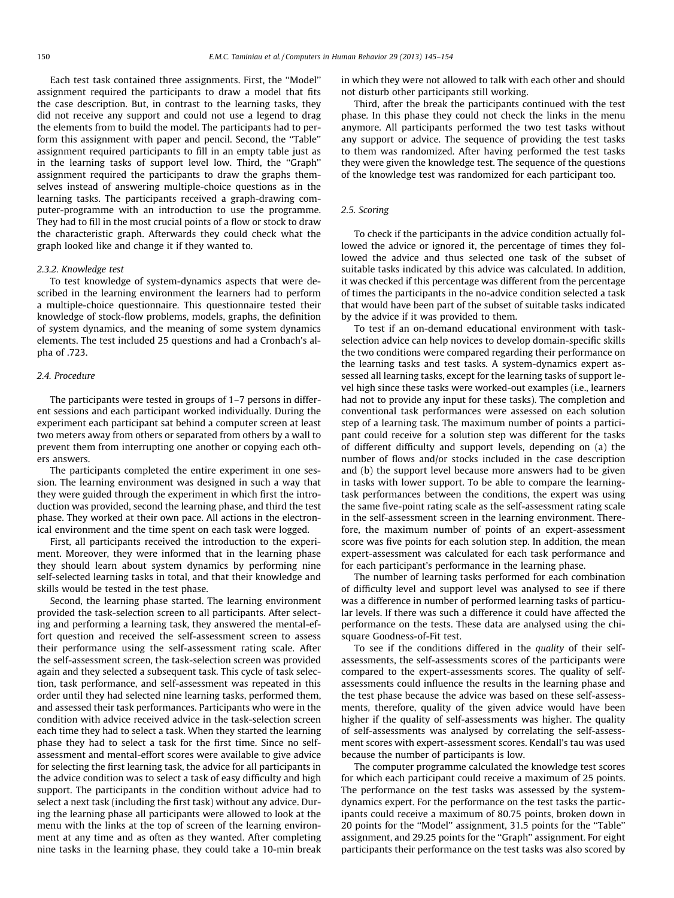Each test task contained three assignments. First, the ''Model'' assignment required the participants to draw a model that fits the case description. But, in contrast to the learning tasks, they did not receive any support and could not use a legend to drag the elements from to build the model. The participants had to perform this assignment with paper and pencil. Second, the ''Table'' assignment required participants to fill in an empty table just as in the learning tasks of support level low. Third, the ''Graph'' assignment required the participants to draw the graphs themselves instead of answering multiple-choice questions as in the learning tasks. The participants received a graph-drawing computer-programme with an introduction to use the programme. They had to fill in the most crucial points of a flow or stock to draw the characteristic graph. Afterwards they could check what the graph looked like and change it if they wanted to.

### 2.3.2. Knowledge test

To test knowledge of system-dynamics aspects that were described in the learning environment the learners had to perform a multiple-choice questionnaire. This questionnaire tested their knowledge of stock-flow problems, models, graphs, the definition of system dynamics, and the meaning of some system dynamics elements. The test included 25 questions and had a Cronbach's alpha of .723.

## 2.4. Procedure

The participants were tested in groups of 1–7 persons in different sessions and each participant worked individually. During the experiment each participant sat behind a computer screen at least two meters away from others or separated from others by a wall to prevent them from interrupting one another or copying each others answers.

The participants completed the entire experiment in one session. The learning environment was designed in such a way that they were guided through the experiment in which first the introduction was provided, second the learning phase, and third the test phase. They worked at their own pace. All actions in the electronical environment and the time spent on each task were logged.

First, all participants received the introduction to the experiment. Moreover, they were informed that in the learning phase they should learn about system dynamics by performing nine self-selected learning tasks in total, and that their knowledge and skills would be tested in the test phase.

Second, the learning phase started. The learning environment provided the task-selection screen to all participants. After selecting and performing a learning task, they answered the mental-effort question and received the self-assessment screen to assess their performance using the self-assessment rating scale. After the self-assessment screen, the task-selection screen was provided again and they selected a subsequent task. This cycle of task selection, task performance, and self-assessment was repeated in this order until they had selected nine learning tasks, performed them, and assessed their task performances. Participants who were in the condition with advice received advice in the task-selection screen each time they had to select a task. When they started the learning phase they had to select a task for the first time. Since no selfassessment and mental-effort scores were available to give advice for selecting the first learning task, the advice for all participants in the advice condition was to select a task of easy difficulty and high support. The participants in the condition without advice had to select a next task (including the first task) without any advice. During the learning phase all participants were allowed to look at the menu with the links at the top of screen of the learning environment at any time and as often as they wanted. After completing nine tasks in the learning phase, they could take a 10-min break in which they were not allowed to talk with each other and should not disturb other participants still working.

Third, after the break the participants continued with the test phase. In this phase they could not check the links in the menu anymore. All participants performed the two test tasks without any support or advice. The sequence of providing the test tasks to them was randomized. After having performed the test tasks they were given the knowledge test. The sequence of the questions of the knowledge test was randomized for each participant too.

## 2.5. Scoring

To check if the participants in the advice condition actually followed the advice or ignored it, the percentage of times they followed the advice and thus selected one task of the subset of suitable tasks indicated by this advice was calculated. In addition, it was checked if this percentage was different from the percentage of times the participants in the no-advice condition selected a task that would have been part of the subset of suitable tasks indicated by the advice if it was provided to them.

To test if an on-demand educational environment with taskselection advice can help novices to develop domain-specific skills the two conditions were compared regarding their performance on the learning tasks and test tasks. A system-dynamics expert assessed all learning tasks, except for the learning tasks of support level high since these tasks were worked-out examples (i.e., learners had not to provide any input for these tasks). The completion and conventional task performances were assessed on each solution step of a learning task. The maximum number of points a participant could receive for a solution step was different for the tasks of different difficulty and support levels, depending on (a) the number of flows and/or stocks included in the case description and (b) the support level because more answers had to be given in tasks with lower support. To be able to compare the learningtask performances between the conditions, the expert was using the same five-point rating scale as the self-assessment rating scale in the self-assessment screen in the learning environment. Therefore, the maximum number of points of an expert-assessment score was five points for each solution step. In addition, the mean expert-assessment was calculated for each task performance and for each participant's performance in the learning phase.

The number of learning tasks performed for each combination of difficulty level and support level was analysed to see if there was a difference in number of performed learning tasks of particular levels. If there was such a difference it could have affected the performance on the tests. These data are analysed using the chisquare Goodness-of-Fit test.

To see if the conditions differed in the quality of their selfassessments, the self-assessments scores of the participants were compared to the expert-assessments scores. The quality of selfassessments could influence the results in the learning phase and the test phase because the advice was based on these self-assessments, therefore, quality of the given advice would have been higher if the quality of self-assessments was higher. The quality of self-assessments was analysed by correlating the self-assessment scores with expert-assessment scores. Kendall's tau was used because the number of participants is low.

The computer programme calculated the knowledge test scores for which each participant could receive a maximum of 25 points. The performance on the test tasks was assessed by the systemdynamics expert. For the performance on the test tasks the participants could receive a maximum of 80.75 points, broken down in 20 points for the ''Model'' assignment, 31.5 points for the ''Table'' assignment, and 29.25 points for the ''Graph'' assignment. For eight participants their performance on the test tasks was also scored by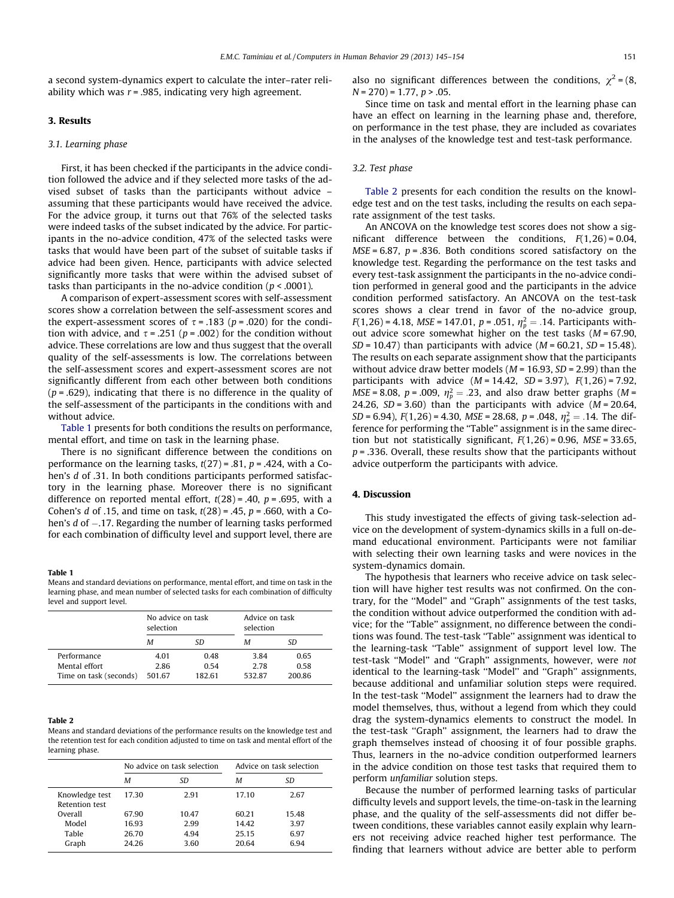a second system-dynamics expert to calculate the inter–rater reliability which was  $r = .985$ , indicating very high agreement.

## 3. Results

## 3.1. Learning phase

First, it has been checked if the participants in the advice condition followed the advice and if they selected more tasks of the advised subset of tasks than the participants without advice – assuming that these participants would have received the advice. For the advice group, it turns out that 76% of the selected tasks were indeed tasks of the subset indicated by the advice. For participants in the no-advice condition, 47% of the selected tasks were tasks that would have been part of the subset of suitable tasks if advice had been given. Hence, participants with advice selected significantly more tasks that were within the advised subset of tasks than participants in the no-advice condition ( $p < .0001$ ).

A comparison of expert-assessment scores with self-assessment scores show a correlation between the self-assessment scores and the expert-assessment scores of  $\tau$  = .183 (p = .020) for the condition with advice, and  $\tau$  = .251 (p = .002) for the condition without advice. These correlations are low and thus suggest that the overall quality of the self-assessments is low. The correlations between the self-assessment scores and expert-assessment scores are not significantly different from each other between both conditions  $(p = .629)$ , indicating that there is no difference in the quality of the self-assessment of the participants in the conditions with and without advice.

Table 1 presents for both conditions the results on performance, mental effort, and time on task in the learning phase.

There is no significant difference between the conditions on performance on the learning tasks,  $t(27) = .81$ ,  $p = .424$ , with a Cohen's *d* of .31. In both conditions participants performed satisfactory in the learning phase. Moreover there is no significant difference on reported mental effort,  $t(28) = .40$ ,  $p = .695$ , with a Cohen's *d* of .15, and time on task,  $t(28) = .45$ ,  $p = .660$ , with a Cohen's d of -.17. Regarding the number of learning tasks performed for each combination of difficulty level and support level, there are

#### Table 1

Means and standard deviations on performance, mental effort, and time on task in the learning phase, and mean number of selected tasks for each combination of difficulty level and support level.

|                        | No advice on task<br>selection |        | Advice on task<br>selection |        |
|------------------------|--------------------------------|--------|-----------------------------|--------|
|                        | М                              | SD     | М                           | SD     |
| Performance            | 4.01                           | 0.48   | 3.84                        | 0.65   |
| Mental effort          | 2.86                           | 0.54   | 2.78                        | 0.58   |
| Time on task (seconds) | 501.67                         | 182.61 | 532.87                      | 200.86 |

#### Table 2

Means and standard deviations of the performance results on the knowledge test and the retention test for each condition adjusted to time on task and mental effort of the learning phase.

|                                  |       | No advice on task selection | Advice on task selection |       |  |
|----------------------------------|-------|-----------------------------|--------------------------|-------|--|
|                                  | М     | SD                          | м                        | SD    |  |
| Knowledge test<br>Retention test | 17.30 | 2.91                        | 17.10                    | 2.67  |  |
| Overall                          | 67.90 | 10.47                       | 60.21                    | 15.48 |  |
| Model                            | 16.93 | 2.99                        | 14.42                    | 3.97  |  |
| Table                            | 26.70 | 4.94                        | 25.15                    | 6.97  |  |
| Graph                            | 24.26 | 3.60                        | 20.64                    | 6.94  |  |

also no significant differences between the conditions,  $\chi^2 = (8, 1)$  $N = 270$ ) = 1.77,  $p > .05$ .

Since time on task and mental effort in the learning phase can have an effect on learning in the learning phase and, therefore, on performance in the test phase, they are included as covariates in the analyses of the knowledge test and test-task performance.

## 3.2. Test phase

Table 2 presents for each condition the results on the knowledge test and on the test tasks, including the results on each separate assignment of the test tasks.

An ANCOVA on the knowledge test scores does not show a significant difference between the conditions,  $F(1,26) = 0.04$ ,  $MSE = 6.87$ ,  $p = .836$ . Both conditions scored satisfactory on the knowledge test. Regarding the performance on the test tasks and every test-task assignment the participants in the no-advice condition performed in general good and the participants in the advice condition performed satisfactory. An ANCOVA on the test-task scores shows a clear trend in favor of the no-advice group,  $F(1,26)$  = 4.18, MSE = 147.01, p = .051,  $\eta_p^2 = 0.14$ . Participants without advice score somewhat higher on the test tasks ( $M = 67.90$ ,  $SD = 10.47$ ) than participants with advice ( $M = 60.21$ ,  $SD = 15.48$ ). The results on each separate assignment show that the participants without advice draw better models ( $M = 16.93$ ,  $SD = 2.99$ ) than the participants with advice  $(M = 14.42, SD = 3.97), F(1,26) = 7.92$ ,  $MSE = 8.08$ ,  $p = .009$ ,  $\eta_p^2 = .23$ , and also draw better graphs (M = 24.26,  $SD = 3.60$ ) than the participants with advice ( $M = 20.64$ ,  $SD = 6.94$ ),  $F(1,26) = 4.30$ ,  $MSE = 28.68$ ,  $p = .048$ ,  $\eta_p^2 = .14$ . The difference for performing the "Table" assignment is in the same direction but not statistically significant,  $F(1,26) = 0.96$ , MSE = 33.65,  $p = 0.336$ . Overall, these results show that the participants without advice outperform the participants with advice.

## 4. Discussion

This study investigated the effects of giving task-selection advice on the development of system-dynamics skills in a full on-demand educational environment. Participants were not familiar with selecting their own learning tasks and were novices in the system-dynamics domain.

The hypothesis that learners who receive advice on task selection will have higher test results was not confirmed. On the contrary, for the ''Model'' and ''Graph'' assignments of the test tasks, the condition without advice outperformed the condition with advice; for the ''Table'' assignment, no difference between the conditions was found. The test-task ''Table'' assignment was identical to the learning-task ''Table'' assignment of support level low. The test-task ''Model'' and ''Graph'' assignments, however, were not identical to the learning-task ''Model'' and ''Graph'' assignments, because additional and unfamiliar solution steps were required. In the test-task ''Model'' assignment the learners had to draw the model themselves, thus, without a legend from which they could drag the system-dynamics elements to construct the model. In the test-task ''Graph'' assignment, the learners had to draw the graph themselves instead of choosing it of four possible graphs. Thus, learners in the no-advice condition outperformed learners in the advice condition on those test tasks that required them to perform unfamiliar solution steps.

Because the number of performed learning tasks of particular difficulty levels and support levels, the time-on-task in the learning phase, and the quality of the self-assessments did not differ between conditions, these variables cannot easily explain why learners not receiving advice reached higher test performance. The finding that learners without advice are better able to perform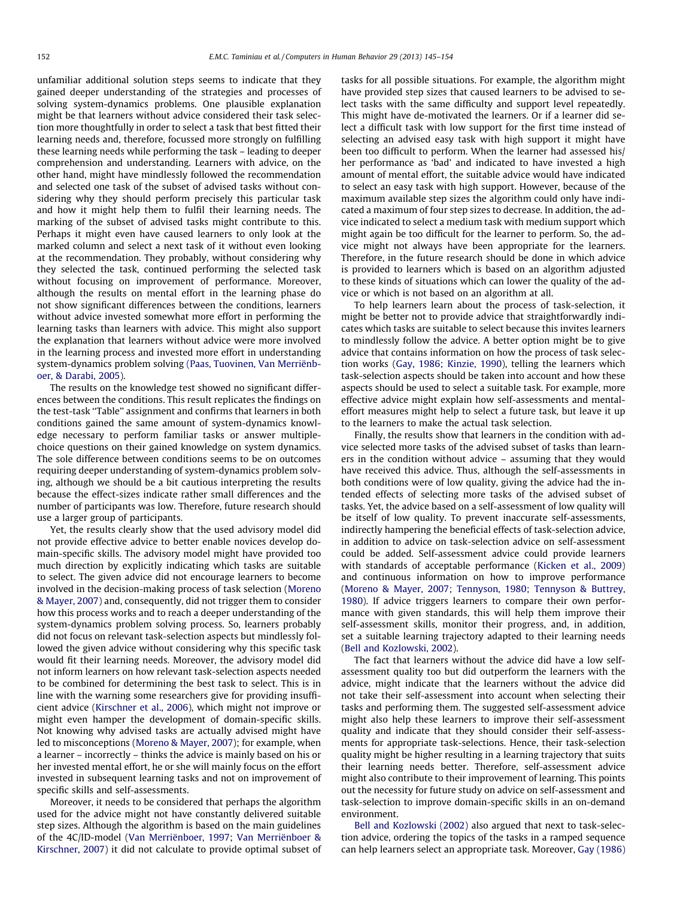unfamiliar additional solution steps seems to indicate that they gained deeper understanding of the strategies and processes of solving system-dynamics problems. One plausible explanation might be that learners without advice considered their task selection more thoughtfully in order to select a task that best fitted their learning needs and, therefore, focussed more strongly on fulfilling these learning needs while performing the task – leading to deeper comprehension and understanding. Learners with advice, on the other hand, might have mindlessly followed the recommendation and selected one task of the subset of advised tasks without considering why they should perform precisely this particular task and how it might help them to fulfil their learning needs. The marking of the subset of advised tasks might contribute to this. Perhaps it might even have caused learners to only look at the marked column and select a next task of it without even looking at the recommendation. They probably, without considering why they selected the task, continued performing the selected task without focusing on improvement of performance. Moreover, although the results on mental effort in the learning phase do not show significant differences between the conditions, learners without advice invested somewhat more effort in performing the learning tasks than learners with advice. This might also support the explanation that learners without advice were more involved in the learning process and invested more effort in understanding system-dynamics problem solving [\(Paas, Tuovinen, Van Merriënb](#page-10-0)[oer, & Darabi, 2005](#page-10-0)).

The results on the knowledge test showed no significant differences between the conditions. This result replicates the findings on the test-task ''Table'' assignment and confirms that learners in both conditions gained the same amount of system-dynamics knowledge necessary to perform familiar tasks or answer multiplechoice questions on their gained knowledge on system dynamics. The sole difference between conditions seems to be on outcomes requiring deeper understanding of system-dynamics problem solving, although we should be a bit cautious interpreting the results because the effect-sizes indicate rather small differences and the number of participants was low. Therefore, future research should use a larger group of participants.

Yet, the results clearly show that the used advisory model did not provide effective advice to better enable novices develop domain-specific skills. The advisory model might have provided too much direction by explicitly indicating which tasks are suitable to select. The given advice did not encourage learners to become involved in the decision-making process of task selection [\(Moreno](#page-10-0) [& Mayer, 2007](#page-10-0)) and, consequently, did not trigger them to consider how this process works and to reach a deeper understanding of the system-dynamics problem solving process. So, learners probably did not focus on relevant task-selection aspects but mindlessly followed the given advice without considering why this specific task would fit their learning needs. Moreover, the advisory model did not inform learners on how relevant task-selection aspects needed to be combined for determining the best task to select. This is in line with the warning some researchers give for providing insufficient advice ([Kirschner et al., 2006](#page-10-0)), which might not improve or might even hamper the development of domain-specific skills. Not knowing why advised tasks are actually advised might have led to misconceptions [\(Moreno & Mayer, 2007\)](#page-10-0); for example, when a learner – incorrectly – thinks the advice is mainly based on his or her invested mental effort, he or she will mainly focus on the effort invested in subsequent learning tasks and not on improvement of specific skills and self-assessments.

Moreover, it needs to be considered that perhaps the algorithm used for the advice might not have constantly delivered suitable step sizes. Although the algorithm is based on the main guidelines of the 4C/ID-model ([Van Merriënboer, 1997](#page-10-0); [Van Merriënboer &](#page-10-0) [Kirschner, 2007\)](#page-10-0) it did not calculate to provide optimal subset of tasks for all possible situations. For example, the algorithm might have provided step sizes that caused learners to be advised to select tasks with the same difficulty and support level repeatedly. This might have de-motivated the learners. Or if a learner did select a difficult task with low support for the first time instead of selecting an advised easy task with high support it might have been too difficult to perform. When the learner had assessed his/ her performance as 'bad' and indicated to have invested a high amount of mental effort, the suitable advice would have indicated to select an easy task with high support. However, because of the maximum available step sizes the algorithm could only have indicated a maximum of four step sizes to decrease. In addition, the advice indicated to select a medium task with medium support which might again be too difficult for the learner to perform. So, the advice might not always have been appropriate for the learners. Therefore, in the future research should be done in which advice is provided to learners which is based on an algorithm adjusted to these kinds of situations which can lower the quality of the advice or which is not based on an algorithm at all.

To help learners learn about the process of task-selection, it might be better not to provide advice that straightforwardly indicates which tasks are suitable to select because this invites learners to mindlessly follow the advice. A better option might be to give advice that contains information on how the process of task selection works [\(Gay, 1986; Kinzie, 1990\)](#page-9-0), telling the learners which task-selection aspects should be taken into account and how these aspects should be used to select a suitable task. For example, more effective advice might explain how self-assessments and mentaleffort measures might help to select a future task, but leave it up to the learners to make the actual task selection.

Finally, the results show that learners in the condition with advice selected more tasks of the advised subset of tasks than learners in the condition without advice – assuming that they would have received this advice. Thus, although the self-assessments in both conditions were of low quality, giving the advice had the intended effects of selecting more tasks of the advised subset of tasks. Yet, the advice based on a self-assessment of low quality will be itself of low quality. To prevent inaccurate self-assessments, indirectly hampering the beneficial effects of task-selection advice, in addition to advice on task-selection advice on self-assessment could be added. Self-assessment advice could provide learners with standards of acceptable performance [\(Kicken et al., 2009\)](#page-10-0) and continuous information on how to improve performance ([Moreno & Mayer, 2007; Tennyson, 1980; Tennyson & Buttrey,](#page-10-0) [1980\)](#page-10-0). If advice triggers learners to compare their own performance with given standards, this will help them improve their self-assessment skills, monitor their progress, and, in addition, set a suitable learning trajectory adapted to their learning needs ([Bell and Kozlowski, 2002](#page-9-0)).

The fact that learners without the advice did have a low selfassessment quality too but did outperform the learners with the advice, might indicate that the learners without the advice did not take their self-assessment into account when selecting their tasks and performing them. The suggested self-assessment advice might also help these learners to improve their self-assessment quality and indicate that they should consider their self-assessments for appropriate task-selections. Hence, their task-selection quality might be higher resulting in a learning trajectory that suits their learning needs better. Therefore, self-assessment advice might also contribute to their improvement of learning. This points out the necessity for future study on advice on self-assessment and task-selection to improve domain-specific skills in an on-demand environment.

[Bell and Kozlowski \(2002\)](#page-9-0) also argued that next to task-selection advice, ordering the topics of the tasks in a ramped sequence can help learners select an appropriate task. Moreover, [Gay \(1986\)](#page-9-0)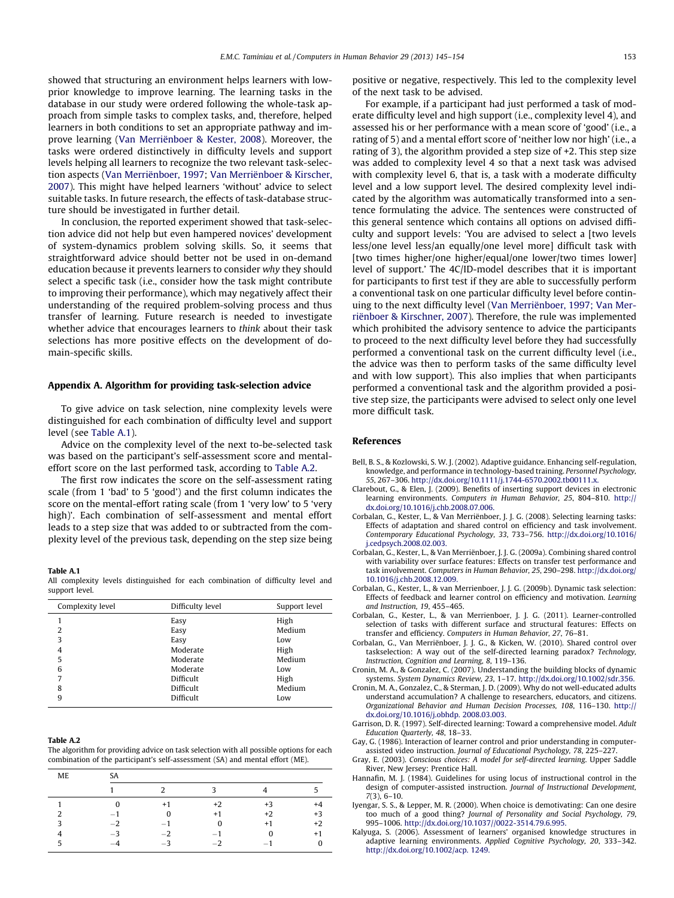<span id="page-9-0"></span>showed that structuring an environment helps learners with lowprior knowledge to improve learning. The learning tasks in the database in our study were ordered following the whole-task approach from simple tasks to complex tasks, and, therefore, helped learners in both conditions to set an appropriate pathway and improve learning [\(Van Merriënboer & Kester, 2008](#page-10-0)). Moreover, the tasks were ordered distinctively in difficulty levels and support levels helping all learners to recognize the two relevant task-selection aspects [\(Van Merriënboer, 1997;](#page-10-0) [Van Merriënboer & Kirscher,](#page-10-0) [2007](#page-10-0)). This might have helped learners 'without' advice to select suitable tasks. In future research, the effects of task-database structure should be investigated in further detail.

In conclusion, the reported experiment showed that task-selection advice did not help but even hampered novices' development of system-dynamics problem solving skills. So, it seems that straightforward advice should better not be used in on-demand education because it prevents learners to consider why they should select a specific task (i.e., consider how the task might contribute to improving their performance), which may negatively affect their understanding of the required problem-solving process and thus transfer of learning. Future research is needed to investigate whether advice that encourages learners to think about their task selections has more positive effects on the development of domain-specific skills.

#### Appendix A. Algorithm for providing task-selection advice

To give advice on task selection, nine complexity levels were distinguished for each combination of difficulty level and support level (see Table A.1).

Advice on the complexity level of the next to-be-selected task was based on the participant's self-assessment score and mentaleffort score on the last performed task, according to Table A.2.

The first row indicates the score on the self-assessment rating scale (from 1 'bad' to 5 'good') and the first column indicates the score on the mental-effort rating scale (from 1 'very low' to 5 'very high)'. Each combination of self-assessment and mental effort leads to a step size that was added to or subtracted from the complexity level of the previous task, depending on the step size being

#### Table A.1

All complexity levels distinguished for each combination of difficulty level and support level.

| Complexity level | Difficulty level | Support level |  |
|------------------|------------------|---------------|--|
| 1                | Easy             | High          |  |
| 2                | Easy             | Medium        |  |
| 3                | Easy             | Low           |  |
| 4                | Moderate         | High          |  |
| 5                | Moderate         | Medium        |  |
| 6                | Moderate         | Low           |  |
| 7                | Difficult        | High          |  |
| 8                | Difficult        | Medium        |  |
| 9                | Difficult        | Low           |  |

#### Table A.2

The algorithm for providing advice on task selection with all possible options for each combination of the participant's self-assessment (SA) and mental effort (ME).

| <b>ME</b> | <b>SA</b> |               |      |      |      |  |  |
|-----------|-----------|---------------|------|------|------|--|--|
|           |           | $\mathcal{L}$ |      |      |      |  |  |
|           | $\Omega$  | $+1$          | $+2$ | $+3$ |      |  |  |
|           |           |               | $+1$ | $+2$ | $+3$ |  |  |
| 2         | $-2$      | $-1$          | 0    | $+1$ | $+2$ |  |  |
|           | $-3$      | $-2$          | $-1$ |      | $+$  |  |  |
| ∽         |           | $-3$          |      | -    |      |  |  |

positive or negative, respectively. This led to the complexity level of the next task to be advised.

For example, if a participant had just performed a task of moderate difficulty level and high support (i.e., complexity level 4), and assessed his or her performance with a mean score of 'good' (i.e., a rating of 5) and a mental effort score of 'neither low nor high' (i.e., a rating of 3), the algorithm provided a step size of +2. This step size was added to complexity level 4 so that a next task was advised with complexity level 6, that is, a task with a moderate difficulty level and a low support level. The desired complexity level indicated by the algorithm was automatically transformed into a sentence formulating the advice. The sentences were constructed of this general sentence which contains all options on advised difficulty and support levels: 'You are advised to select a [two levels less/one level less/an equally/one level more] difficult task with [two times higher/one higher/equal/one lower/two times lower] level of support.' The 4C/ID-model describes that it is important for participants to first test if they are able to successfully perform a conventional task on one particular difficulty level before continuing to the next difficulty level [\(Van Merriënboer, 1997; Van Mer](#page-10-0)[riënboer & Kirschner, 2007\)](#page-10-0). Therefore, the rule was implemented which prohibited the advisory sentence to advice the participants to proceed to the next difficulty level before they had successfully performed a conventional task on the current difficulty level (i.e., the advice was then to perform tasks of the same difficulty level and with low support). This also implies that when participants performed a conventional task and the algorithm provided a positive step size, the participants were advised to select only one level more difficult task.

#### **References**

- Bell, B. S., & Kozlowski, S. W. J. (2002). Adaptive guidance. Enhancing self-regulation, knowledge, and performance in technology-based training. Personnel Psychology, 55, 267–306. http://dx.doi.org/[10.1111/j.1744-6570.2002.tb00111.x.](http://dx.doi.org/10.1111/j.1744-6570.2002.tb00111.x)
- Clarebout, G., & Elen, J. (2009). Benefits of inserting support devices in electronic learning environments. Computers in Human Behavior, 25, 804–810. http:// dx.doi.org/[10.1016/j.chb.2008.07.006.](http://dx.doi.org/10.1016/j.chb.2008.07.006)
- Corbalan, G., Kester, L., & Van Merriënboer, J. J. G. (2008). Selecting learning tasks: Effects of adaptation and shared control on efficiency and task involvement. Contemporary Educational Psychology, 33, 733–756. http://dx.doi.org/[10.1016/](http://dx.doi.org/10.1016/j.cedpsych.2008.02.003) [j.cedpsych.2008.02.003.](http://dx.doi.org/10.1016/j.cedpsych.2008.02.003)
- Corbalan, G., Kester, L., & Van Merriënboer, J. J. G. (2009a). Combining shared control with variability over surface features: Effects on transfer test performance and task involvement. Computers in Human Behavior, 25, 290–298. http://dx.doi.org/ [10.1016/j.chb.2008.12.009.](http://dx.doi.org/10.1016/j.chb.2008.12.009)
- Corbalan, G., Kester, L., & van Merrienboer, J. J. G. (2009b). Dynamic task selection: Effects of feedback and learner control on efficiency and motivation. Learning and Instruction, 19, 455–465.
- Corbalan, G., Kester, L., & van Merrienboer, J. J. G. (2011). Learner-controlled selection of tasks with different surface and structural features: Effects on transfer and efficiency. Computers in Human Behavior, 27, 76–81.
- Corbalan, G., Van Merriënboer, J. J. G., & Kicken, W. (2010). Shared control over taskselection: A way out of the self-directed learning paradox? Technology, Instruction, Cognition and Learning, 8, 119–136.
- Cronin, M. A., & Gonzalez, C. (2007). Understanding the building blocks of dynamic systems. System Dynamics Review, 23, 1–17. http://dx.doi.org/[10.1002/sdr.356.](http://dx.doi.org/10.1002/sdr.356)
- Cronin, M. A., Gonzalez, C., & Sterman, J. D. (2009). Why do not well-educated adults understand accumulation? A challenge to researchers, educators, and citizens. Organizational Behavior and Human Decision Processes, 108, 116–130. http:// dx.doi.org/[10.1016/j.obhdp. 2008.03.003.](http://dx.doi.org/10.1016/j.obhdp.2008.03.003)
- Garrison, D. R. (1997). Self-directed learning: Toward a comprehensive model. Adult Education Quarterly, 48, 18–33.
- Gay, G. (1986). Interaction of learner control and prior understanding in computerassisted video instruction. Journal of Educational Psychology, 78, 225–227.
- Gray, E. (2003). Conscious choices: A model for self-directed learning. Upper Saddle River, New Jersey: Prentice Hall. Hannafin, M. J. (1984). Guidelines for using locus of instructional control in the
- design of computer-assisted instruction. Journal of Instructional Development, 7(3), 6–10.
- Iyengar, S. S., & Lepper, M. R. (2000). When choice is demotivating: Can one desire too much of a good thing? Journal of Personality and Social Psychology, 79, 995–1006. http://dx.doi.org/[10.1037//0022-3514.79.6.995.](http://dx.doi.org/10.1037//0022-3514.79.6.995)
- Kalyuga, S. (2006). Assessment of learners' organised knowledge structures in adaptive learning environments. Applied Cognitive Psychology, 20, 333–342. http://dx.doi.org/[10.1002/acp. 1249.](http://dx.doi.org/10.1002/acp.1249)